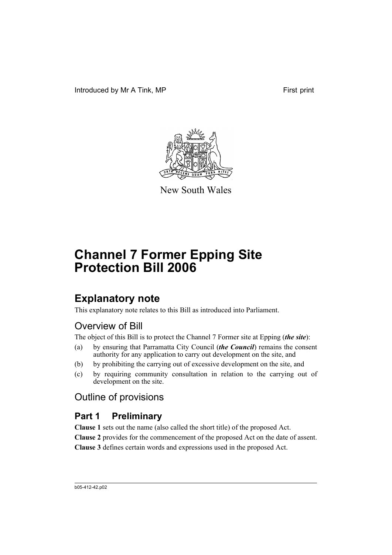Introduced by Mr A Tink, MP First print



New South Wales

# **Channel 7 Former Epping Site Protection Bill 2006**

# **Explanatory note**

This explanatory note relates to this Bill as introduced into Parliament.

## Overview of Bill

The object of this Bill is to protect the Channel 7 Former site at Epping (*the site*):

- (a) by ensuring that Parramatta City Council (*the Council*) remains the consent authority for any application to carry out development on the site, and
- (b) by prohibiting the carrying out of excessive development on the site, and
- (c) by requiring community consultation in relation to the carrying out of development on the site.

## Outline of provisions

## **Part 1 Preliminary**

**Clause 1** sets out the name (also called the short title) of the proposed Act. **Clause 2** provides for the commencement of the proposed Act on the date of assent. **Clause 3** defines certain words and expressions used in the proposed Act.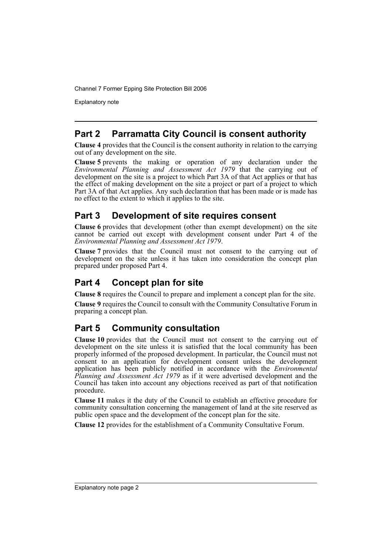Channel 7 Former Epping Site Protection Bill 2006

Explanatory note

## **Part 2 Parramatta City Council is consent authority**

**Clause 4** provides that the Council is the consent authority in relation to the carrying out of any development on the site.

**Clause 5** prevents the making or operation of any declaration under the *Environmental Planning and Assessment Act 1979* that the carrying out of development on the site is a project to which Part 3A of that Act applies or that has the effect of making development on the site a project or part of a project to which Part 3A of that Act applies. Any such declaration that has been made or is made has no effect to the extent to which it applies to the site.

## **Part 3 Development of site requires consent**

**Clause 6** provides that development (other than exempt development) on the site cannot be carried out except with development consent under Part 4 of the *Environmental Planning and Assessment Act 1979*.

**Clause 7** provides that the Council must not consent to the carrying out of development on the site unless it has taken into consideration the concept plan prepared under proposed Part 4.

## **Part 4 Concept plan for site**

**Clause 8** requires the Council to prepare and implement a concept plan for the site.

**Clause 9** requires the Council to consult with the Community Consultative Forum in preparing a concept plan.

## **Part 5 Community consultation**

**Clause 10** provides that the Council must not consent to the carrying out of development on the site unless it is satisfied that the local community has been properly informed of the proposed development. In particular, the Council must not consent to an application for development consent unless the development application has been publicly notified in accordance with the *Environmental Planning and Assessment Act 1979* as if it were advertised development and the Council has taken into account any objections received as part of that notification procedure.

**Clause 11** makes it the duty of the Council to establish an effective procedure for community consultation concerning the management of land at the site reserved as public open space and the development of the concept plan for the site.

**Clause 12** provides for the establishment of a Community Consultative Forum.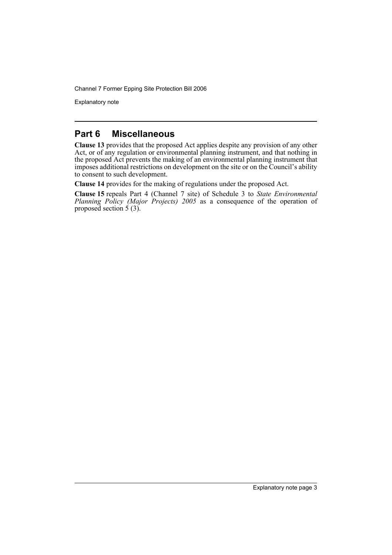Channel 7 Former Epping Site Protection Bill 2006

Explanatory note

### **Part 6 Miscellaneous**

**Clause 13** provides that the proposed Act applies despite any provision of any other Act, or of any regulation or environmental planning instrument, and that nothing in the proposed Act prevents the making of an environmental planning instrument that imposes additional restrictions on development on the site or on the Council's ability to consent to such development.

**Clause 14** provides for the making of regulations under the proposed Act.

**Clause 15** repeals Part 4 (Channel 7 site) of Schedule 3 to *State Environmental Planning Policy (Major Projects) 2005* as a consequence of the operation of proposed section  $\frac{1}{5}$  (3).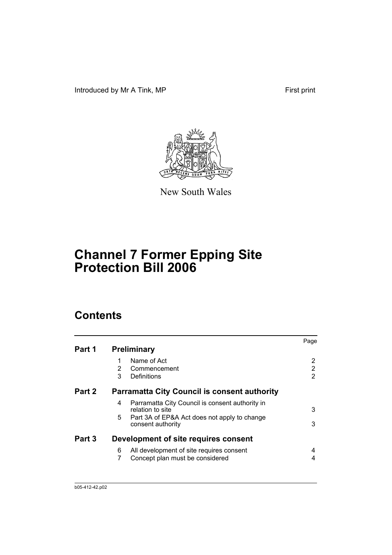Introduced by Mr A Tink, MP First print



New South Wales

# **Channel 7 Former Epping Site Protection Bill 2006**

## **Contents**

|        |                                                                          | Page |
|--------|--------------------------------------------------------------------------|------|
| Part 1 | <b>Preliminary</b>                                                       |      |
|        | Name of Act<br>1                                                         | 2    |
|        | 2<br>Commencement                                                        | 2    |
|        | 3<br>Definitions                                                         | 2    |
| Part 2 | <b>Parramatta City Council is consent authority</b>                      |      |
|        | Parramatta City Council is consent authority in<br>4<br>relation to site | 3    |
|        | 5.<br>Part 3A of EP&A Act does not apply to change<br>consent authority  | 3    |
| Part 3 | Development of site requires consent                                     |      |
|        | All development of site requires consent<br>6                            | 4    |
|        | 7<br>Concept plan must be considered                                     | 4    |
|        |                                                                          |      |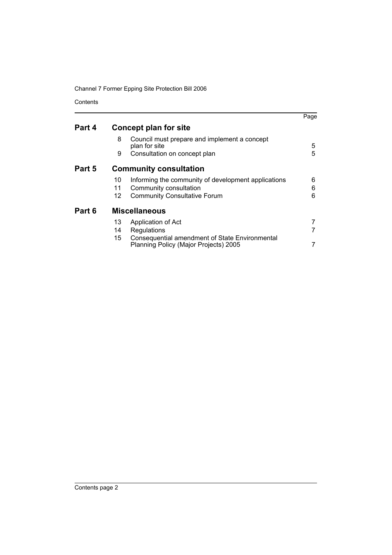Channel 7 Former Epping Site Protection Bill 2006

Contents

|                |                                                                                                                      | Page                                                                                                                    |
|----------------|----------------------------------------------------------------------------------------------------------------------|-------------------------------------------------------------------------------------------------------------------------|
|                |                                                                                                                      |                                                                                                                         |
| 8              | Council must prepare and implement a concept<br>plan for site                                                        | 5                                                                                                                       |
| 9              | Consultation on concept plan                                                                                         | 5                                                                                                                       |
|                |                                                                                                                      |                                                                                                                         |
| 10<br>11<br>12 | Informing the community of development applications<br>Community consultation<br><b>Community Consultative Forum</b> | 6<br>6<br>6                                                                                                             |
|                |                                                                                                                      |                                                                                                                         |
| 13<br>14<br>15 | Application of Act<br>Regulations<br>Consequential amendment of State Environmental                                  |                                                                                                                         |
|                |                                                                                                                      | Concept plan for site<br><b>Community consultation</b><br><b>Miscellaneous</b><br>Planning Policy (Major Projects) 2005 |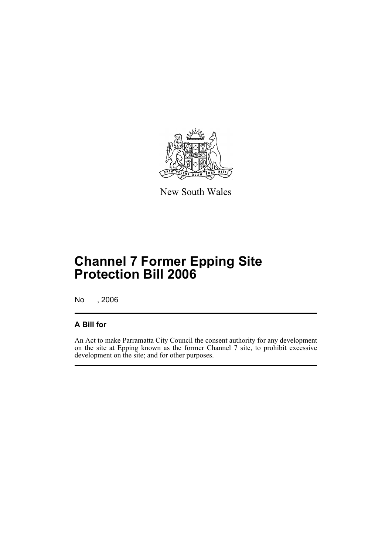

New South Wales

# **Channel 7 Former Epping Site Protection Bill 2006**

No , 2006

### **A Bill for**

An Act to make Parramatta City Council the consent authority for any development on the site at Epping known as the former Channel 7 site, to prohibit excessive development on the site; and for other purposes.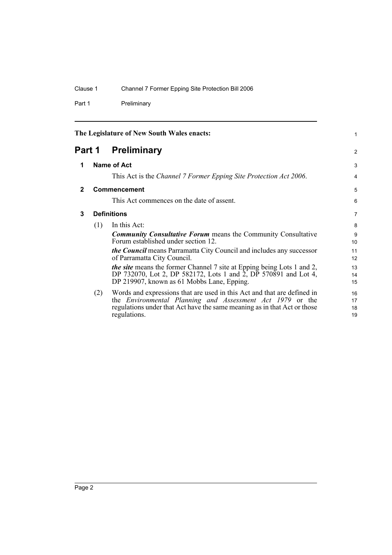Part 1 Preliminary

<span id="page-7-3"></span><span id="page-7-2"></span><span id="page-7-1"></span><span id="page-7-0"></span>

| The Legislature of New South Wales enacts: |                    |                                                                                                                                                                                                                                         | 1                    |
|--------------------------------------------|--------------------|-----------------------------------------------------------------------------------------------------------------------------------------------------------------------------------------------------------------------------------------|----------------------|
| Part 1                                     |                    | <b>Preliminary</b>                                                                                                                                                                                                                      | 2                    |
| 1                                          |                    | Name of Act                                                                                                                                                                                                                             | 3                    |
|                                            |                    | This Act is the Channel 7 Former Epping Site Protection Act 2006.                                                                                                                                                                       | 4                    |
| $\mathbf{2}$                               |                    | Commencement                                                                                                                                                                                                                            | 5                    |
|                                            |                    | This Act commences on the date of assent.                                                                                                                                                                                               | 6                    |
| 3                                          | <b>Definitions</b> |                                                                                                                                                                                                                                         | 7                    |
|                                            | (1)                | In this Act:                                                                                                                                                                                                                            | 8                    |
|                                            |                    | <b>Community Consultative Forum</b> means the Community Consultative<br>Forum established under section 12.                                                                                                                             | 9<br>10              |
|                                            |                    | <i>the Council</i> means Parramatta City Council and includes any successor<br>of Parramatta City Council.                                                                                                                              | 11<br>12             |
|                                            |                    | <i>the site</i> means the former Channel 7 site at Epping being Lots 1 and 2,                                                                                                                                                           | 13                   |
|                                            |                    | DP 732070, Lot 2, DP 582172, Lots 1 and 2, DP 570891 and Lot 4,<br>DP 219907, known as 61 Mobbs Lane, Epping.                                                                                                                           | 14<br>15             |
|                                            | (2)                | Words and expressions that are used in this Act and that are defined in<br>the <i>Environmental Planning and Assessment Act 1979</i> or the<br>regulations under that Act have the same meaning as in that Act or those<br>regulations. | 16<br>17<br>18<br>19 |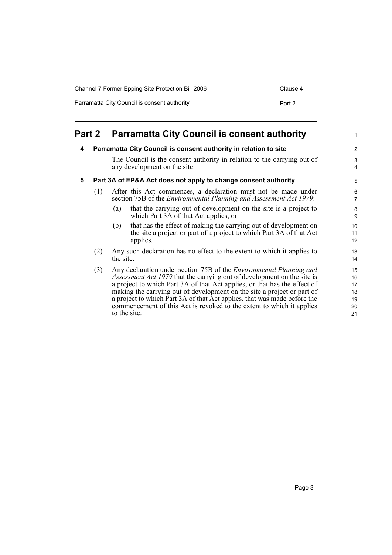| Channel 7 Former Epping Site Protection Bill 2006 | Clause 4 |
|---------------------------------------------------|----------|
| Parramatta City Council is consent authority      | Part 2   |

<span id="page-8-2"></span><span id="page-8-1"></span><span id="page-8-0"></span>

|   | <b>Part 2</b> | <b>Parramatta City Council is consent authority</b>                                                                                                                                                                                                                                                                                                                                                                                                                                       | $\mathbf{1}$                                |
|---|---------------|-------------------------------------------------------------------------------------------------------------------------------------------------------------------------------------------------------------------------------------------------------------------------------------------------------------------------------------------------------------------------------------------------------------------------------------------------------------------------------------------|---------------------------------------------|
| 4 |               | Parramatta City Council is consent authority in relation to site                                                                                                                                                                                                                                                                                                                                                                                                                          | $\overline{2}$                              |
|   |               | The Council is the consent authority in relation to the carrying out of<br>any development on the site.                                                                                                                                                                                                                                                                                                                                                                                   | $\ensuremath{\mathsf{3}}$<br>$\overline{4}$ |
| 5 |               | Part 3A of EP&A Act does not apply to change consent authority                                                                                                                                                                                                                                                                                                                                                                                                                            | 5                                           |
|   | (1)           | After this Act commences, a declaration must not be made under<br>section 75B of the <i>Environmental Planning and Assessment Act 1979</i> :                                                                                                                                                                                                                                                                                                                                              | 6<br>$\overline{7}$                         |
|   |               | that the carrying out of development on the site is a project to<br>(a)<br>which Part 3A of that Act applies, or                                                                                                                                                                                                                                                                                                                                                                          | $\bf8$<br>9                                 |
|   |               | that has the effect of making the carrying out of development on<br>(b)<br>the site a project or part of a project to which Part 3A of that Act<br>applies.                                                                                                                                                                                                                                                                                                                               | 10<br>11<br>12                              |
|   | (2)           | Any such declaration has no effect to the extent to which it applies to<br>the site.                                                                                                                                                                                                                                                                                                                                                                                                      | 13<br>14                                    |
|   | (3)           | Any declaration under section 75B of the <i>Environmental Planning and</i><br><i>Assessment Act 1979</i> that the carrying out of development on the site is<br>a project to which Part 3A of that Act applies, or that has the effect of<br>making the carrying out of development on the site a project or part of<br>a project to which Part 3A of that Act applies, that was made before the<br>commencement of this Act is revoked to the extent to which it applies<br>to the site. | 15<br>16<br>17<br>18<br>19<br>20<br>21      |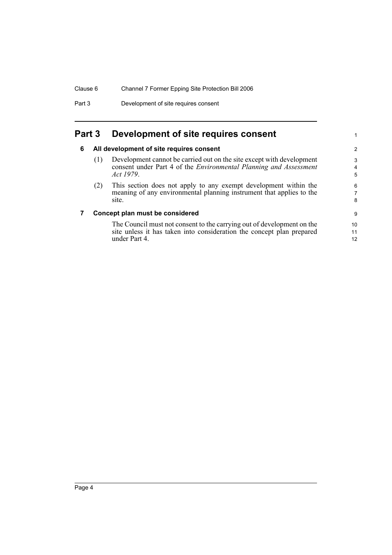Part 3 Development of site requires consent

### <span id="page-9-1"></span><span id="page-9-0"></span>**Part 3 Development of site requires consent**

#### **6 All development of site requires consent**

(1) Development cannot be carried out on the site except with development consent under Part 4 of the *Environmental Planning and Assessment Act 1979*.

1

(2) This section does not apply to any exempt development within the meaning of any environmental planning instrument that applies to the site.

#### <span id="page-9-2"></span>**7 Concept plan must be considered**

The Council must not consent to the carrying out of development on the site unless it has taken into consideration the concept plan prepared under Part 4.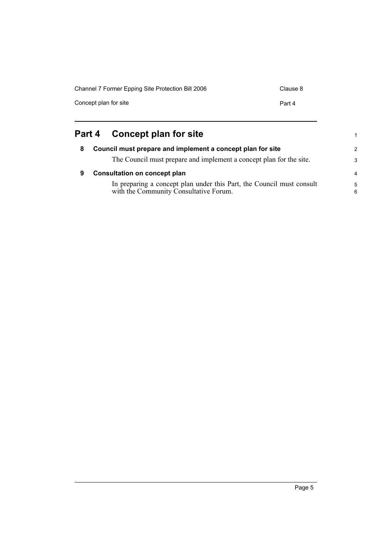| Channel 7 Former Epping Site Protection Bill 2006 | Clause 8 |
|---------------------------------------------------|----------|
| Concept plan for site                             | Part 4   |
|                                                   |          |

<span id="page-10-2"></span><span id="page-10-1"></span><span id="page-10-0"></span>

|   | Part 4 Concept plan for site                                                                                    |
|---|-----------------------------------------------------------------------------------------------------------------|
| 8 | Council must prepare and implement a concept plan for site                                                      |
|   | The Council must prepare and implement a concept plan for the site.                                             |
| 9 | <b>Consultation on concept plan</b>                                                                             |
|   | In preparing a concept plan under this Part, the Council must consult<br>with the Community Consultative Forum. |

1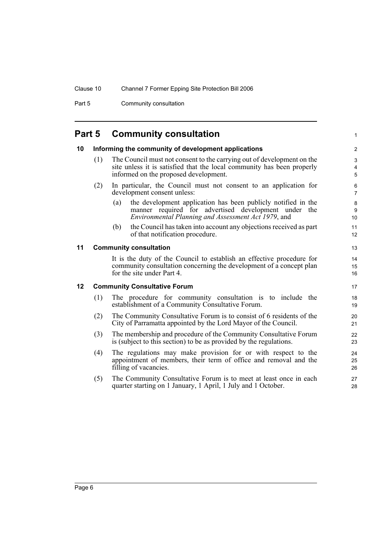Part 5 Community consultation

# <span id="page-11-0"></span>**Part 5 Community consultation**

<span id="page-11-3"></span><span id="page-11-2"></span><span id="page-11-1"></span>

| 10 |     | Informing the community of development applications                                                                                                                                       | $\boldsymbol{2}$         |
|----|-----|-------------------------------------------------------------------------------------------------------------------------------------------------------------------------------------------|--------------------------|
|    | (1) | The Council must not consent to the carrying out of development on the<br>site unless it is satisfied that the local community has been properly<br>informed on the proposed development. | 3<br>$\overline{4}$<br>5 |
|    | (2) | In particular, the Council must not consent to an application for<br>development consent unless:                                                                                          | 6<br>$\overline{7}$      |
|    |     | the development application has been publicly notified in the<br>(a)<br>manner required for advertised development under the<br>Environmental Planning and Assessment Act 1979, and       | 8<br>9<br>10             |
|    |     | the Council has taken into account any objections received as part<br>(b)<br>of that notification procedure.                                                                              | 11<br>12                 |
| 11 |     | <b>Community consultation</b>                                                                                                                                                             | 13                       |
|    |     | It is the duty of the Council to establish an effective procedure for<br>community consultation concerning the development of a concept plan<br>for the site under Part 4.                | 14<br>15<br>16           |
| 12 |     | <b>Community Consultative Forum</b>                                                                                                                                                       | 17                       |
|    | (1) | The procedure for community consultation is to include the<br>establishment of a Community Consultative Forum.                                                                            | 18<br>19                 |
|    | (2) | The Community Consultative Forum is to consist of 6 residents of the<br>City of Parramatta appointed by the Lord Mayor of the Council.                                                    | 20<br>21                 |
|    | (3) | The membership and procedure of the Community Consultative Forum<br>is (subject to this section) to be as provided by the regulations.                                                    | 22<br>23                 |
|    | (4) | The regulations may make provision for or with respect to the<br>appointment of members, their term of office and removal and the<br>filling of vacancies.                                | 24<br>25<br>26           |
|    | (5) | The Community Consultative Forum is to meet at least once in each<br>quarter starting on 1 January, 1 April, 1 July and 1 October.                                                        | 27<br>28                 |

1